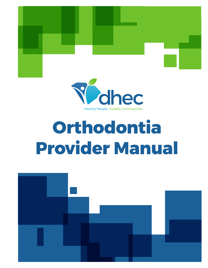



# **Orthodontia Provider Manual**

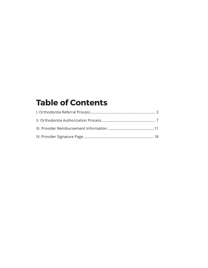# **Table of Contents**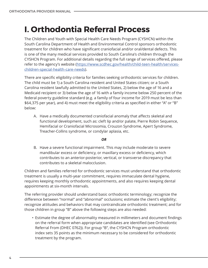# <span id="page-3-0"></span>**I. Orthodontia Referral Process**

The Children and Youth with Special Health Care Needs Program (CYSHCN) within the South Carolina Department of Health and Environmental Control sponsors orthodontic treatment for children who have significant craniofacial and/or oral/dental defects. This is one of the many medical services provided to South Carolina's children through the CYSHCN Program. For additional details regarding the full range of services offered, please refer to the agency's website ([https://www.scdhec.gov/health/child-teen-health/services](https://www.scdhec.gov/health/child-teen-health/services-children-special-health-care-needs)[children-special-health-care-needs](https://www.scdhec.gov/health/child-teen-health/services-children-special-health-care-needs)).

There are specific eligibility criteria for families seeking orthodontic services for children. The child must be 1) a South Carolina resident and United States citizen; or a South Carolina resident lawfully admitted to the United States, 2) below the age of 16 and a Medicaid recipient or 3) below the age of 16 with a family income below 250 percent of the federal poverty guideline standard (e.g. a family of four income for 2019 must be less than \$64,375 per year), and 4) must meet the eligibility criteria as specified in either "A" or "B" below:

A. Have a medically documented craniofacial anomaly that affects skeletal and functional development, such as: cleft lip and/or palate, Pierre Robin Sequence, Hemifacial or Craniofacial Microsomia, Crouzon Syndrome, Apert Syndrome, Treacher-Collins syndrome, or condylar aplasia, etc.

#### *OR*

B. Have a severe functional impairment. This may include moderate to severe mandibular excess or deficiency, or maxillary excess or deficiency, which contributes to an anterior-posterior, vertical, or transverse discrepancy that contributes to a skeletal malocclusion.

Children and families referred for orthodontic services must understand that orthodontic treatment is usually a multi-year commitment, requires immaculate dental hygiene, requires keeping monthly orthodontic appointments, and also requires keeping dental appointments at six-month intervals.

The referring provider should understand basic orthodontic terminology; recognize the difference between "normal" and "abnormal" occlusions; estimate the client's eligibility; recognize attitudes and behaviors that may contraindicate orthodontic treatment; and for those children in group "B" above the following steps are also needed:

• Estimate the degree of abnormality measured in millimeters and document findings on the referral form when appropriate candidates are identified (see Orthodontic Referral From (DHEC 0762)). For group "B", the CYSHCN Program orthodontic index sets 35 points as the minimum necessary to be considered for orthodontic treatment by the program.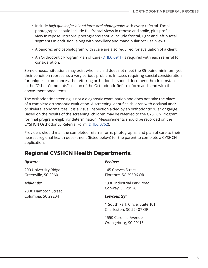- Include *high quality facial and intra-oral photographs* with every referral. Facial photographs should include full frontal views in repose and smile, plus profile view in repose. Intraoral photographs should include frontal, right and left buccal segments in occlusion, along with maxillary and mandibular occlusal views.
- A panorex and cephalogram with scale are also required for evaluation of a client.
- An Orthodontic Program Plan of Care ([DHEC 0911\)](http://www.scdhec.gov/sites/default/files/Library/D-0911.pdf) is required with each referral for consideration.

Some unusual situations may exist when a child does not meet the 35-point minimum, yet their condition represents a very serious problem. In cases requiring special consideration for unique circumstances, the referring orthodontist should document the circumstances in the "Other Comments" section of the Orthodontic Referral form and send with the above-mentioned items.

The orthodontic screening is not a diagnostic examination and does not take the place of a complete orthodontic evaluation. A screening identifies children with occlusal and/ or skeletal abnormalities. It is a visual inspection aided by an orthodontic ruler or gauge. Based on the results of the screening, children may be referred to the CYSHCN Program for final program eligibility determination. Measurements should be recorded on the CYSHCN Orthodontic Referral Form ([DHEC 0762](http://www.scdhec.gov/sites/default/files/Library/D-0762.pdf)).

Providers should mail the completed referral form, photographs, and plan of care to their nearest regional health department (listed below) for the parent to complete a CYSHCN application.

### **Regional CYSHCN Health Departments:**

#### *Upstate:*

200 University Ridge Greenville, SC 29601

#### *Midlands:*

2000 Hampton Street Columbia, SC 29204

#### *PeeDee:*

145 Cheves Street Florence, SC 29506 OR

1930 Industrial Park Road Conway, SC 29526

#### *Lowcountry:*

1 South Park Circle, Suite 101 Charleston, SC 29407 OR

1550 Carolina Avenue Orangeburg, SC 29115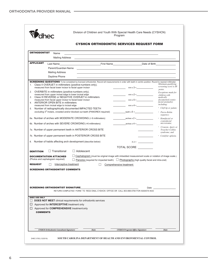|                                                                                                                            |                                                                                                                        |                                                |                                                                                       | <b>CYSHCN ORTHODONTIC SERVICES REQUEST FORM</b>                                                                                                                                                                               |        |                                                        |
|----------------------------------------------------------------------------------------------------------------------------|------------------------------------------------------------------------------------------------------------------------|------------------------------------------------|---------------------------------------------------------------------------------------|-------------------------------------------------------------------------------------------------------------------------------------------------------------------------------------------------------------------------------|--------|--------------------------------------------------------|
| <b>ORTHODONTIST</b>                                                                                                        | Name                                                                                                                   |                                                |                                                                                       | the control of the control of the control of the control of the control of the control of the control of the control of the control of the control of the control of the control of the control of the control of the control |        |                                                        |
|                                                                                                                            | Mailing Address                                                                                                        |                                                |                                                                                       |                                                                                                                                                                                                                               |        |                                                        |
| <b>APPLICANT</b>                                                                                                           |                                                                                                                        |                                                |                                                                                       | Last Name <b>Date of Birth</b> Date of Birth <b>Contract Contract On the Contract Of Birth</b> Date of Birth                                                                                                                  |        |                                                        |
|                                                                                                                            |                                                                                                                        |                                                |                                                                                       | Parent/Guardian Name <b>Example 2018</b>                                                                                                                                                                                      |        |                                                        |
|                                                                                                                            | <b>Mailing Address</b>                                                                                                 |                                                |                                                                                       |                                                                                                                                                                                                                               |        |                                                        |
|                                                                                                                            | Daytime Phone                                                                                                          |                                                |                                                                                       |                                                                                                                                                                                                                               |        |                                                        |
| 1 <sup>1</sup>                                                                                                             | Class II OVERJET in millimeters (positive numbers only),<br>measured from facial lower incisor to facial upper incisor |                                                |                                                                                       | <b>SCREENING QUESTIONS</b> To be completed by licensed orthodontist. Record all measurements in order with teeth in centric position. Round to nearest millimeter.                                                            |        | Minimum qualifying<br>screening score is 35<br>points. |
| 2.                                                                                                                         | OVERBITE in millimeters (positive numbers only).<br>measured from upper incisal edge to lower incisal edge             |                                                |                                                                                       |                                                                                                                                                                                                                               |        | Exceptions made for<br>children with                   |
| 3.                                                                                                                         | Class III REVERSE or NEGATIVE OVERJET in millimeters<br>measured from facial upper incisor to facial lower incisor     |                                                |                                                                                       | $mm \times 5 =$                                                                                                                                                                                                               |        | medically<br>documented cranio-                        |
| 4.                                                                                                                         | ANTERIOR OPEN BITE in millimeters<br>measured from incisal edge to incisal edge                                        |                                                |                                                                                       | $mm x4 =$                                                                                                                                                                                                                     |        | facial anomalies<br>including:                         |
| 5.                                                                                                                         | Number of radiographically documented IMPACTED TEETH                                                                   |                                                | excluding 3 <sup>rd</sup> molars, crowded and/or blocked out teeth (PANOREX required) | teeth $\times$ 5 =                                                                                                                                                                                                            |        | · Cleft lip or palate;<br>· Pierre-Robin               |
|                                                                                                                            |                                                                                                                        |                                                |                                                                                       |                                                                                                                                                                                                                               |        | sequence;                                              |
| 6a. Number of arches with MODERATE CROWDING (<6 millimeters)<br>6b. Number of arches with SEVERE CROWDING (>6 millimeters) | $arches x 2 =$<br>$arches \times 4 =$                                                                                  | · Hemifacial or<br>craniofacial<br>microsomia; |                                                                                       |                                                                                                                                                                                                                               |        |                                                        |
|                                                                                                                            | 7a. Number of upper permanent teeth in ANTERIOR CROSS BITE                                                             |                                                |                                                                                       |                                                                                                                                                                                                                               |        | Crouzon, Apert, or<br>Treacher-Collins                 |
|                                                                                                                            | 7b. Number of upper permanent teeth in POSTERIOR CROSS BITE                                                            |                                                |                                                                                       |                                                                                                                                                                                                                               |        | syndrome; and<br>• Condylar aplasia.                   |
| 8.                                                                                                                         | Number of habits affecting arch development (describe below)                                                           |                                                |                                                                                       |                                                                                                                                                                                                                               | $X2 =$ |                                                        |
|                                                                                                                            |                                                                                                                        |                                                |                                                                                       | TOTAL SCORE <b>STATE</b>                                                                                                                                                                                                      |        |                                                        |
| <b>DENTITION</b>                                                                                                           | $\Box$ Transitional                                                                                                    | $\Box$ Adolescent                              |                                                                                       |                                                                                                                                                                                                                               |        |                                                        |
|                                                                                                                            | <b>DOCUMENTATION ATTACHED</b>                                                                                          |                                                |                                                                                       | $\Box$ Cephalogram (must be original image with imbedded measurement scale or notation of image scale.)                                                                                                                       |        |                                                        |
|                                                                                                                            | (Photos and cephalogram required)                                                                                      |                                                |                                                                                       | $\Box$ Panorex (required for impacted teeth) $\Box$ Photographs (high quality facial and intra-oral)                                                                                                                          |        |                                                        |
| <b>REQUEST</b>                                                                                                             | Interceptive treatment                                                                                                 |                                                |                                                                                       | Comprehensive treatment                                                                                                                                                                                                       |        |                                                        |
|                                                                                                                            | <b>SCREENING ORTHODONTIST COMMENTS</b>                                                                                 |                                                |                                                                                       |                                                                                                                                                                                                                               |        |                                                        |
|                                                                                                                            |                                                                                                                        |                                                |                                                                                       |                                                                                                                                                                                                                               |        |                                                        |
|                                                                                                                            |                                                                                                                        |                                                |                                                                                       |                                                                                                                                                                                                                               |        |                                                        |
|                                                                                                                            |                                                                                                                        |                                                |                                                                                       |                                                                                                                                                                                                                               |        |                                                        |
|                                                                                                                            | <b>SCREENING ORTHODONTIST SIGNATURE</b>                                                                                |                                                |                                                                                       | RETURN COMPLETED FORM TO REGI ONAL CYSHCN OFFICE OR CALL 803-898-0784 FOR ASSISTA NCE                                                                                                                                         | Date   |                                                        |
|                                                                                                                            |                                                                                                                        |                                                |                                                                                       |                                                                                                                                                                                                                               |        |                                                        |
| <b>DHEC USE ONLY</b><br>$\Box$                                                                                             | <b>DOES NOT MEET</b> clinical requirements for orthodontic services                                                    |                                                |                                                                                       |                                                                                                                                                                                                                               |        |                                                        |
| ப                                                                                                                          | Approved for <b>INTERCEPTIVE</b> treatment only                                                                        |                                                |                                                                                       |                                                                                                                                                                                                                               |        |                                                        |
|                                                                                                                            | $\Box$ Approved for <b>COMPREHENSIVE</b> treatment only                                                                |                                                |                                                                                       |                                                                                                                                                                                                                               |        |                                                        |
| <b>COMMENTS</b>                                                                                                            |                                                                                                                        |                                                |                                                                                       |                                                                                                                                                                                                                               |        |                                                        |
|                                                                                                                            |                                                                                                                        |                                                |                                                                                       |                                                                                                                                                                                                                               |        |                                                        |
|                                                                                                                            |                                                                                                                        |                                                |                                                                                       |                                                                                                                                                                                                                               |        |                                                        |
|                                                                                                                            |                                                                                                                        |                                                |                                                                                       | <b>CYSHCN Program Office Signature</b>                                                                                                                                                                                        |        | <b>Date</b>                                            |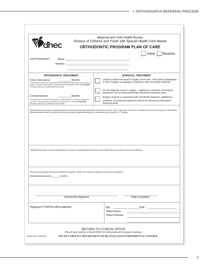|                                                                                                                                                                                                                    |                        | Maternal and Child Health Bureau<br>Division of Children and Youth with Special Health Care Needs                                                        |
|--------------------------------------------------------------------------------------------------------------------------------------------------------------------------------------------------------------------|------------------------|----------------------------------------------------------------------------------------------------------------------------------------------------------|
| Volhec                                                                                                                                                                                                             |                        | <b>ORTHODONTIC PROGRAM PLAN OF CARE</b>                                                                                                                  |
|                                                                                                                                                                                                                    |                        | Initial $ $<br>Revision                                                                                                                                  |
| <b>ORTHODONTIST</b>                                                                                                                                                                                                |                        |                                                                                                                                                          |
|                                                                                                                                                                                                                    |                        |                                                                                                                                                          |
|                                                                                                                                                                                                                    |                        |                                                                                                                                                          |
| <b>ORTHODONTIC TREATMENT</b>                                                                                                                                                                                       |                        | <b>SURGICAL TREATMENT</b>                                                                                                                                |
| Early/ interceptive<br>Treatment of primary or mixed dentition to eliminate underlying cause, correct or                                                                                                           | Months                 | Unable to determine need for surgery at this time. Will submit updated plan<br>of care if surgery is required in conjunction with orthodontic treatment. |
| reduce severity of malocclusion and functional impairment. Limit of 15 months.<br>Provide justification if additional time needed.                                                                                 |                        |                                                                                                                                                          |
|                                                                                                                                                                                                                    |                        | Do not anticipate need for surgery -- satisfactory correction of functional<br>impairment can be achieved through orthodontic treatment alone.           |
| Comprehensive                                                                                                                                                                                                      | Months                 | Surgery required in conjunction with orthodontic treatment. Satisfactory                                                                                 |
| Treatment of transitional, adolescent, or adult dentition to achieve satisfactory<br>correction of malocclusion and functional impairment. Limit of 30 months.<br>Provide justification if additional time needed. |                        | correction of functional impairment cannot be achieved by orthodontic<br>treatment alone.                                                                |
|                                                                                                                                                                                                                    |                        |                                                                                                                                                          |
|                                                                                                                                                                                                                    |                        | Additional information, special considerations or concerns (especially those that may require DHEC follow up to assure successful treatment).            |
| Routine general dental care during orthodontic treatment. (DHEC will monitor as needed to help assure compliance.)<br>Dental cleaning every<br>_months                                                             |                        |                                                                                                                                                          |
|                                                                                                                                                                                                                    | Orthodontist Signature | Date Completed                                                                                                                                           |
| Regional CYSHCN office address                                                                                                                                                                                     |                        | ID#<br>DOB                                                                                                                                               |
|                                                                                                                                                                                                                    |                        | <b>Patient Name</b>                                                                                                                                      |
|                                                                                                                                                                                                                    |                        | <b>Patient Address</b>                                                                                                                                   |
|                                                                                                                                                                                                                    |                        |                                                                                                                                                          |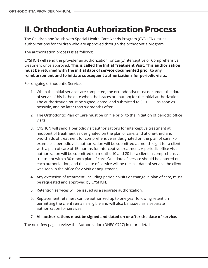# <span id="page-7-0"></span>**II. Orthodontia Authorization Process**

The Children and Youth with Special Health Care Needs Program (CYSHCN) issues authorizations for children who are approved through the orthodontia program.

The authorization process is as follows:

CYSHCN will send the provider an authorization for Early/Interceptive or Comprehensive treatment once approved. **This is called the Initial Treatment Visit. This authorization must be returned with the initial date of service documented prior to any reimbursement and to initiate subsequent authorizations for periodic visits.** 

For ongoing orthodontic Services:

- 1. When the initial services are completed, the orthodontist must document the date of service (this is the date when the braces are put on) for the initial authorization. The authorization must be signed, dated, and submitted to SC DHEC as soon as possible, and no later than six months after.
- 2. The Orthodontic Plan of Care must be on file prior to the initiation of periodic office visits.
- 3. CYSHCN will send 1 periodic visit authorizations for interceptive treatment at midpoint of treatment as designated on the plan of care, and at one-third and two-thirds of treatment for comprehensive as designated on the plan of care. For example, a periodic visit authorization will be submitted at month eight for a client with a plan of care of 15 months for interceptive treatment. A periodic office visit authorization will be submitted on months 10 and 20 for a client in comprehensive treatment with a 30 month plan of care. One date of service should be entered on each authorization, and this date of service will be the last date of service the client was seen in the office for a visit or adjustment.
- 4. Any extension of treatment, including periodic visits or change in plan of care, must be requested and approved by CYSHCN.
- 5. Retention services will be issued as a separate authorization.
- 6. Replacement retainers can be authorized up to one year following retention permitting the client remains eligible and will also be issued as a separate authorization for services.
- 7. **All authorizations must be signed and dated on or after the date of service.**

The next few pages review the Authorization (DHEC 0727) in more detail.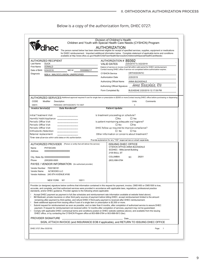### Below is a copy of the authorization form, DHEC 0727:

| dhec<br>available at http://www.dhec.sc.gov/Health/ChildTeenHealth/ServicesforChildrenwithSpecialHealthCareNeeds/.                                                                                                                                                                                                                                                               | <b>AUTHORIZATION</b>                                                  | The person named below has been determined eligible for receipt of specified services, supplies, equipment or medications<br>for DHEC reimbursement. Important additional information below. Complete statement of applicable terms and conditions |
|----------------------------------------------------------------------------------------------------------------------------------------------------------------------------------------------------------------------------------------------------------------------------------------------------------------------------------------------------------------------------------|-----------------------------------------------------------------------|----------------------------------------------------------------------------------------------------------------------------------------------------------------------------------------------------------------------------------------------------|
| <b>AUTHORIZED RECIPIENT</b>                                                                                                                                                                                                                                                                                                                                                      | AUTHORIZATION # 89392                                                 |                                                                                                                                                                                                                                                    |
| Last Name<br><b>DUCK</b><br><b>First Name</b><br><b>DONALD</b>                                                                                                                                                                                                                                                                                                                   | <b>VALID DATES</b>                                                    | 2/20/2019 To 3/22/2019                                                                                                                                                                                                                             |
| Date of Birth<br>6/24/2016<br>MCI#<br>5550686217                                                                                                                                                                                                                                                                                                                                 |                                                                       | Date(s) of service on invoice must fall within valid period for DHEC reimbursement.<br>Contact issuing DHEC office if service not completed before authorization expires.                                                                          |
| Diagnosis<br>M26.4 : MALOCCLUSION, UNSPECIFIED                                                                                                                                                                                                                                                                                                                                   | <b>CYSHCN Service</b>                                                 | ORTHODONTIC                                                                                                                                                                                                                                        |
|                                                                                                                                                                                                                                                                                                                                                                                  | <b>Authorization Date</b>                                             | 2/20/2019                                                                                                                                                                                                                                          |
|                                                                                                                                                                                                                                                                                                                                                                                  | Authorizing Official Name                                             | ANNA BLEASDALE                                                                                                                                                                                                                                     |
|                                                                                                                                                                                                                                                                                                                                                                                  | Authorizing Official Signature:                                       | Anna Bleasdale, RN                                                                                                                                                                                                                                 |
|                                                                                                                                                                                                                                                                                                                                                                                  | Form Completed By                                                     | BLEASDAE 2/20/2019 12:17:09 PM                                                                                                                                                                                                                     |
| AUTHORIZED SERVICES Additional approval required if cost for single item or prescription is \$2500 or more.Contact issuing DHEC office before purchasing or dispensing.                                                                                                                                                                                                          |                                                                       |                                                                                                                                                                                                                                                    |
| CODE<br>Modifier<br>Description                                                                                                                                                                                                                                                                                                                                                  |                                                                       | Comments<br>Units                                                                                                                                                                                                                                  |
| PERIODIC ORTHODONTC TX VISIT<br>D8670                                                                                                                                                                                                                                                                                                                                            |                                                                       | 3                                                                                                                                                                                                                                                  |
| Date Rendered*<br>Invoice Service(s)                                                                                                                                                                                                                                                                                                                                             | <b>Patient Update</b>                                                 |                                                                                                                                                                                                                                                    |
| Initial Treatment Visit                                                                                                                                                                                                                                                                                                                                                          | Is treatment proceeding on schedule?                                  |                                                                                                                                                                                                                                                    |
| Harmful Habit Appliance<br>_________                                                                                                                                                                                                                                                                                                                                             | □No                                                                   | $\square$ Yes                                                                                                                                                                                                                                      |
| Periodic Office Visit                                                                                                                                                                                                                                                                                                                                                            | Is patient maintaining adequate oral hygiene?                         |                                                                                                                                                                                                                                                    |
| Periodic Office Visit                                                                                                                                                                                                                                                                                                                                                            | □ No                                                                  | $\Box$ Yes                                                                                                                                                                                                                                         |
| Periodic Office Visit                                                                                                                                                                                                                                                                                                                                                            | DHEC follow up required to improve compliance?                        |                                                                                                                                                                                                                                                    |
| Orthodontic Retention                                                                                                                                                                                                                                                                                                                                                            | □ No                                                                  | $\Box$ Yes                                                                                                                                                                                                                                         |
| Retainer replacement                                                                                                                                                                                                                                                                                                                                                             | Other information or concerns about treatment?                        |                                                                                                                                                                                                                                                    |
| *Enter date of service within valid dates on this authorization.                                                                                                                                                                                                                                                                                                                 | Provide explanation for any "YES" response here or attach separately. |                                                                                                                                                                                                                                                    |
| AUTHORIZED PROVIDER (Person or entity that will deliver the service)                                                                                                                                                                                                                                                                                                             | <b>ISSUING DHEC OFFICE</b>                                            |                                                                                                                                                                                                                                                    |
| Name<br><b>PHYSICIAN</b>                                                                                                                                                                                                                                                                                                                                                         |                                                                       | CYSHCN OFFICE-ANNA BLEASDALE                                                                                                                                                                                                                       |
| Address<br>0000000000000000000000                                                                                                                                                                                                                                                                                                                                                | SCDHEC - Mills/Jarrett Building                                       |                                                                                                                                                                                                                                                    |
|                                                                                                                                                                                                                                                                                                                                                                                  | 2100 BULL ST                                                          |                                                                                                                                                                                                                                                    |
| City, State Zip 0000000000000000000000                                                                                                                                                                                                                                                                                                                                           | <b>COLUMBIA</b>                                                       | 29201<br><b>SC</b>                                                                                                                                                                                                                                 |
| Phone<br>$(000)000 - 0000$                                                                                                                                                                                                                                                                                                                                                       | (803) 898-0784                                                        |                                                                                                                                                                                                                                                    |
| PAYEE / VENDOR INFORMATION (for authorized provider)                                                                                                                                                                                                                                                                                                                             |                                                                       |                                                                                                                                                                                                                                                    |
| Vendor Number 7000198181                                                                                                                                                                                                                                                                                                                                                         |                                                                       |                                                                                                                                                                                                                                                    |
| Vendor Name<br>AZ BOOKS LLC                                                                                                                                                                                                                                                                                                                                                      |                                                                       |                                                                                                                                                                                                                                                    |
| Vendor Address 245 8TH AVENUE #180                                                                                                                                                                                                                                                                                                                                               |                                                                       |                                                                                                                                                                                                                                                    |
| 10011<br>NEW YORK NY                                                                                                                                                                                                                                                                                                                                                             |                                                                       |                                                                                                                                                                                                                                                    |
| Provider (or designee) signature below confirms that information contained in this request for payment, invoice, CMS1450 or CMS1500 is true,<br>accurate, and complete; and that authorized services were provided in accordance with applicable laws, regulations, professional practice<br>standards, and/or DHEC guidance. Provider agrees to the following where applicable: |                                                                       |                                                                                                                                                                                                                                                    |
| Accept DHEC payment as payment in full (fee schedules and reimbursement rate information available at website listed above).                                                                                                                                                                                                                                                     |                                                                       |                                                                                                                                                                                                                                                    |
| Bill Medicaid, private insurance or other third party sources of payment before billing DHEC, accept reimbursement limited to the amount<br>ï.                                                                                                                                                                                                                                   |                                                                       |                                                                                                                                                                                                                                                    |
| remaining after payment by third parties, and refund DHEC if third party payment is received after DHEC reimbursement.                                                                                                                                                                                                                                                           |                                                                       |                                                                                                                                                                                                                                                    |
| Seek additional approval from issuing office if cost of a single item or prescription is \$2,500 or more.<br>ï.<br>Submit request for reimbursement as soon as possible, and no later than 6 months, after completion of authorized service to assure DHEC<br>ï.                                                                                                                 |                                                                       |                                                                                                                                                                                                                                                    |
| payment. If request for reimbursement not received within 12 months after completion of services, payment may not be guaranteed.                                                                                                                                                                                                                                                 |                                                                       |                                                                                                                                                                                                                                                    |
| Comply with applicable DHEC contractual terms and conditions posted on DHEC website (address above), and available from the issuing<br>ï.<br>DHEC office, or by contacting the CYSHCN Program office at 803-898-0784 or 803-898-0613 (fax).                                                                                                                                      |                                                                       |                                                                                                                                                                                                                                                    |
| PROVIDER SIGNATURE                                                                                                                                                                                                                                                                                                                                                               | _ Date_                                                               |                                                                                                                                                                                                                                                    |
| SIGN, ATTACH INVOICE (and INSURANCE EOB if applicable), and RETURN TO ISSUING DHEC OFFICE                                                                                                                                                                                                                                                                                        |                                                                       |                                                                                                                                                                                                                                                    |
|                                                                                                                                                                                                                                                                                                                                                                                  |                                                                       |                                                                                                                                                                                                                                                    |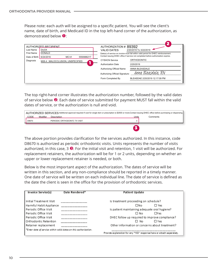Please note: each auth will be assigned to a specific patient. You will see the client's name, date of birth, and Medicaid ID in the top left-hand corner of the authorization, as  $\sim$ demonstrated below  $\mathbf{0}$ : The dissipation of a special patient. To a will see the care  $T$  person named below has been determined services, supplies, supplies, supplies, supplies, equipment or medications  $T$ 

| AUTHORIZED RECIPIENT                           |                                 |  | AUTHORIZATION # 89392                                                               |                                                                                    |
|------------------------------------------------|---------------------------------|--|-------------------------------------------------------------------------------------|------------------------------------------------------------------------------------|
| Last Name                                      | <b>DUCK</b>                     |  | <b>VALID DATES</b>                                                                  | 2/20/2019 To 3/22/2019                                                             |
| <b>First Name</b>                              | <b>DONALD</b>                   |  | Date(s) of service on invoice must fall within valid period for DHEC reimbursement. |                                                                                    |
| Date of Birth                                  | 6/24/2016<br>MCI#<br>5550686217 |  |                                                                                     | Contact issuing DHEC office if service not completed before authorization expires. |
| Diagnosis<br>M26.4 : MALOCCLUSION, UNSPECIFIED |                                 |  | <b>CYSHCN Service</b>                                                               | <b>ORTHODONTIC</b>                                                                 |
|                                                |                                 |  | <b>Authorization Date</b>                                                           | 2/20/2019                                                                          |
|                                                |                                 |  | Authorizing Official Name                                                           | ANNA BLEASDALE                                                                     |
|                                                |                                 |  | Authorizing Official Signature:                                                     | Anna Bleasdale, RN                                                                 |
|                                                |                                 |  | Form Completed By                                                                   | BLEASDAE 2/20/2019 12:17:09 PM                                                     |
|                                                |                                 |  |                                                                                     |                                                                                    |

The top right-hand corner illustrates the authorization number, followed by the valid dates of service below  $\bullet$ . Each date of service submitted for payment MUST fall within the valid dates of service, or the authorization is null and void.

| AUTHORIZED SERVICES Additional approval required if cost for single item or prescription is \$2500 or more.Contact issuing DHEC office before purchasing or dispensing. |          |                              |       |          |  |  |  |
|-------------------------------------------------------------------------------------------------------------------------------------------------------------------------|----------|------------------------------|-------|----------|--|--|--|
| CODE                                                                                                                                                                    | Modifier | Description                  | Units | Comments |  |  |  |
| D8670                                                                                                                                                                   |          | PERIODIC ORTHODONTC TX VISIT |       |          |  |  |  |
|                                                                                                                                                                         |          |                              |       |          |  |  |  |

The above portion provides clarification for the services authorized. In this instance, code D8670 is authorized as periodic orthodontic visits. Units represents the number of visits authorized, in this case, 3  $\bullet$ . For the initial visit and retention, 1 visit will be authorized. For replacement retainers, the authorization will be for 1 or 2 units, depending on whether an upper or lower replacement retainer is needed, or both. he above portion provides clarification for the services authorized. In 8670 is authorized as periodic orthodontic visits. Units represents the number of visits <sup>7</sup>اء . . - 1 (for authorized provider) ipper or lower replacement retainer is needed, or both. Last Name DUCK 2/20/2019 To 3/22/2019 VALID DATES He above portion provides clarification for the services authorized. In this instance, code

Below is the most important aspect of the authorization. The dates of service will be written in this section, and any non-compliance should be reported in a timely manner. One date of service will be written on each individual line. The date of service is defined as the date the client is seen in the office for the provision of orthodontic services. he date the client is seen in the office for the provision of orthodontic services standards, and/or DHEC guidance. Provider agrees to the following where applicable: 3 most import Relow is the most important aspect of the authorization. The dates of s  $\alpha$  vritten in this section, and any non-compliance should be reported in a timely manner. THE GALE LITE CHEFTERS SEETT .<br>he most important aspect of the authorization. The dates of service will be: (000)000-0000  $\sum_{i=1}^n$  and  $\sum_{i=1}^n$ The date of Service will be written on each manuada line. e date the client is seen in the onlice for the provision or or thoughtic services.

| Invoice Service(s)                                               | Date Rendered* | <b>Patient Update</b>                                                 |            |  |
|------------------------------------------------------------------|----------------|-----------------------------------------------------------------------|------------|--|
| Initial Treatment Visit                                          |                | Is treatment proceeding on schedule?                                  |            |  |
| Harmful Habit Appliance                                          |                | ΠNο                                                                   | $\Box$ Yes |  |
| Periodic Office Visit                                            |                | Is patient maintaining adequate oral hygiene?                         |            |  |
| Periodic Office Visit                                            |                | ΠN∩                                                                   | $\Box$ Yes |  |
| Periodic Office Visit                                            |                | DHEC follow up required to improve compliance?                        |            |  |
| Orthodontic Retention                                            |                | ⊟ No                                                                  | $\Box$ Yes |  |
| Retainer replacement                                             |                | Other information or concerns about treatment?                        |            |  |
| *Enter date of service within valid dates on this authorization. |                |                                                                       |            |  |
|                                                                  |                | Provide explanation for any "YES" response here or attach separately. |            |  |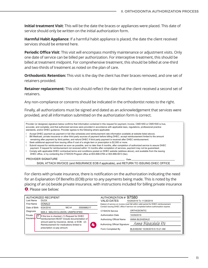**Initial treatment Visit**: This will be the date the braces or appliances were placed. This date of service should only be written on the initial authorization form. CODE Description Units

Harmful Habit Appliance: If a harmful habit appliance is placed, the date the client received services should be entered here.

**Periodic Office Visit**: This visit will encompass monthly maintenance or adjustment visits. Only one date of service can be billed per authorization. For interceptive treatment, this should be billed at treatment midpoint. For comprehensive treatment, this should be billed at one-third and two-thirds of treatment as noted on the plan of care.

**Orthodontic Retention:** This visit is the day the client has their braces removed, and one set of retainers provided. The service or entity that will deliver the service or entity that will deliver the service

**Retainer replacement:** This visit should reflect the date that the client received a second set of retainers. replacement: This visit should reflect the date that

Any non-compliance or concerns should be indicated in the orthodontist notes to the right.

Finally, all authorizations must be signed and dated as an acknowledgement that services were provided, and all information submitted on the authorization form is correct.  $\frac{2}{3}$ Vendor Name  $\sum_{i=1}^n$ 

Provider (or designee) signature below confirms that information contained in this request for payment, invoice, CMS1450 or CMS1500 is true, accurate, and complete; and that authorized services were provided in accordance with applicable laws, regulations, professional practice standards, and/or DHEC guidance. Provider agrees to the following where applicable:

- ï Accept DHEC payment as payment in full (fee schedules and reimbursement rate information available at website listed above).
- ï Bill Medicaid, private insurance or other third party sources of payment before billing DHEC, accept reimbursement limited to the amount
- remaining after payment by third parties, and refund DHEC if third party payment is received after DHEC reimbursement.
- ï Seek additional approval from issuing office if cost of a single item or prescription is \$2,500 or more.
- ï Submit request for reimbursement as soon as possible, and no later than 6 months, after completion of authorized service to assure DHEC payment. If request for reimbursement not received within 12 months after completion of services, payment may not be guaranteed.
- ï Comply with applicable DHEC contractual terms and conditions posted on DHEC website (address above), and available from the issuing DHEC office, or by contacting the CYSHCN Program office at 803-898-0784 or 803-898-0613 (fax).

PROVIDER SIGNATURE Date

SIGN, ATTACH INVOICE (and INSURANCE EOB if applicable), and RETURN TO ISSUING DHEC OFFICE

For clients with private insurance, there is notification on the authorization indicating the need for an Explanation Of Benefits (EOB) prior to any payments being made. This is noted by the placing of an (x) beside private insurance, with instructions included for billing private insurance **4**. Please see below: for DHEC reimbursement. Important additional information below. Complete statement of applicable terms and conditions and conditions and conditions and conditions and conditions and conditions and conditions and condition

| Last Name                                                                                                                                                                                 | AUTHORIZED RECIPIENT<br><b>DUCK</b>          |                                                                                     |                                                                                    |                                 | AUTHORIZATION # 97580<br><b>VALID DATES</b> | 10/29/2019 To 11/28/2019 |
|-------------------------------------------------------------------------------------------------------------------------------------------------------------------------------------------|----------------------------------------------|-------------------------------------------------------------------------------------|------------------------------------------------------------------------------------|---------------------------------|---------------------------------------------|--------------------------|
| <b>DONALD</b><br><b>First Name</b>                                                                                                                                                        |                                              | Date(s) of service on invoice must fall within valid period for DHEC reimbursement. |                                                                                    |                                 |                                             |                          |
| Date of Birth                                                                                                                                                                             | 6/24/2016<br>MCI#<br>5550686217              |                                                                                     | Contact issuing DHEC office if service not completed before authorization expires. |                                 |                                             |                          |
| Diagnosis                                                                                                                                                                                 | M26.4 : MALOCCLUSION, UNSPECIFIED            |                                                                                     |                                                                                    |                                 | <b>CYSHCN Service</b>                       | <b>ORTHODONTIC</b>       |
| Private<br>X                                                                                                                                                                              | If this box is checked: (1) Request for DHEC |                                                                                     |                                                                                    |                                 | <b>Authorization Date</b>                   | 10/29/2019               |
| Insurance<br>reimbursement MUST include documentation of<br>amount paid by insurance, denial, or EOB. (2)<br>4<br>Reimbursement for medications limited to<br>prescription co-pay amount. |                                              |                                                                                     | Authorizing Official Name                                                          | ANNA BLEASDALE                  |                                             |                          |
|                                                                                                                                                                                           |                                              |                                                                                     |                                                                                    | Authorizing Official Signature: | Anna Bleasdale RN                           |                          |
|                                                                                                                                                                                           |                                              |                                                                                     | Form Completed By                                                                  | BLEASDAE 10/29/2019 9:15:21 AM  |                                             |                          |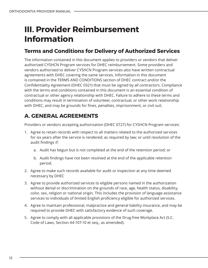# <span id="page-11-0"></span>**III. Provider Reimbursement Information**

### **Terms and Conditions for Delivery of Authorized Services**

The information contained in this document applies to providers or vendors that deliver authorized CYSHCN Program services for DHEC reimbursement. Some providers and vendors authorized to deliver CYSHCN Program services also have written contractual agreements with DHEC covering the same services. Information in this document is contained in the TERMS AND CONDITIONS section of DHEC contract and/or the Confidentiality Agreement (DHEC 0321) that must be signed by all contractors. Compliance with the terms and conditions contained in this document is an essential condition of contractual or other agency relationship with DHEC. Failure to adhere to these terms and conditions may result in termination of volunteer, contractual, or other work relationship with DHEC, and may be grounds for fines, penalties, imprisonment, or civil suit.

# **A. GENERAL AGREEMENTS**

Providers or vendors accepting authorization (DHEC 0727) for CYSHCN Program services:

- 1. Agree to retain records with respect to all matters related to the authorized services for six years after the service is rendered; as required by law; or until resolution of the audit findings if:
	- a. Audit has begun but is not completed at the end of the retention period; or
	- b. Audit findings have not been resolved at the end of the applicable retention period.
- 2. Agree to make such records available for audit or inspection at any time deemed necessary by DHEC
- 3. Agree to provide authorized services to eligible persons named in the authorization without denial or discrimination on the grounds of race, age, health status, disability, color, sex, religion or national origin. This includes the provision of language assistance services to individuals of limited English proficiency eligible for authorized services.
- 4. Agree to maintain professional, malpractice and general liability insurance, and may be required to provide DHEC with satisfactory evidence of such coverage.
- 5. Agree to comply with all applicable provisions of the Drug-free Workplace Act (S.C. Code of Laws, Section 44-107-10 et seq., as amended).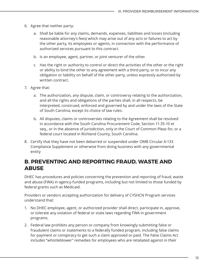- 6. Agree that neither party:
	- a. Shall be liable for any claims, demands, expenses, liabilities and losses (including reasonable attorney's fees) which may arise out of any acts or failures to act by the other party, its employees or agents, in connection with the performance of authorized services pursuant to this contract.
	- b. Is an employee, agent, partner, or joint venturer of the other.
	- c. Has the right or authority to control or direct the activities of the other or the right or ability to bind the other to any agreement with a third party, or to incur any obligation or liability on behalf of the other party, unless expressly authorized by written contract.
- 7. Agree that:
	- a. The authorization, any dispute, claim, or controversy relating to the authorization, and all the rights and obligations of the parties shall, in all respects, be interpreted, construed, enforced and governed by and under the laws of the State of South Carolina, except its choice of law rules.
	- b. All disputes, claims or controversies relating to the Agreement shall be resolved in accordance with the South Carolina Procurement Code, Section 11-35-10 et seq., or in the absence of jurisdiction, only in the Court of Common Pleas for, or a federal court located in Richland County, South Carolina.
- 8. Certify that they have not been debarred or suspended under OMB Circular A-133 Compliance Supplement or otherwise from doing business with any governmental entity

### **B. PREVENTING AND REPORTING FRAUD, WASTE AND ABUSE**

DHEC has procedures and policies concerning the prevention and reporting of fraud, waste and abuse (FWA) in agency-funded programs, including but not limited to those funded by federal grants such as Medicaid.

Providers or vendors accepting authorization for delivery of CYSHCN Program services understand that:

- 1. No DHEC employee, agent, or authorized provider shall direct, participate in, approve, or tolerate any violation of federal or state laws regarding FWA in government programs.
- 2. Federal law prohibits any person or company from knowingly submitting false or fraudulent claims or statements to a federally funded program, including false claims for payment or conspiracy to get such a claim approved or paid. The False Claims Act includes "whistleblower" remedies for employees who are retaliated against in their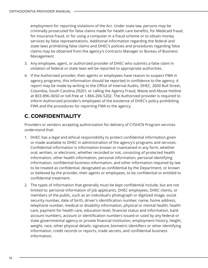employment for reporting violations of the Act. Under state law, persons may be criminally prosecuted for false claims made for health care benefits, for Medicaid fraud, for insurance fraud, or for using a computer in a fraud scheme or to obtain money services by false representations. Additional information regarding the federal and state laws prohibiting false claims and DHEC's policies and procedures regarding false claims may be obtained from the agency's Contracts Manager or Bureau of Business Management.

- 3. Any employee, agent, or authorized provider of DHEC who submits a false claim in violation of federal or state laws will be reported to appropriate authorities.
- 4. If the Authorized provider, their agents or employees have reason to suspect FWA in agency programs, this information should be reported in confidence to the agency. A report may be made by writing to the Office of Internal Audits, DHEC, 2600 Bull Street, Columbia, South Carolina 29201; or calling the Agency Fraud, Waste and Abuse Hotline at 803-896-0650 or toll-free at 1-866-206-5202. The Authorized provider is required to inform Authorized provider's employees of the existence of DHEC's policy prohibiting FWA and the procedures for reporting FWA to the agency.

# **C. CONFIDENTIALITY**

Providers or vendors accepting authorization for delivery of CYSHCN Program services understand that:

- 1. DHEC has a legal and ethical responsibility to protect confidential information given or made available to DHEC in administration of the agency's programs and services. Confidential information is information known or maintained in any form, whether oral, written, or electronic, whether recorded or not, consisting of protected health information, other health information, personal information, personal identifying information, confidential business information, and other information required by law to be treated as confidential, designated as confidential by the Department, or known or believed by the provider, their agents or employees, to be confidential or entitled to confidential treatment.
- 2. The types of information that generally must be kept confidential include, but are not limited to: personal information of job applicants, DHEC employees, DHEC clients, or members of the public, such as an individual's photograph or digitized image, social security number, date of birth, driver's identification number, name, home address, telephone number, medical or disability information, physical or mental health, health care, payment for health care, education level, financial status and information, bank account numbers, account or identification numbers issued or used by any federal or state governmental agency or private financial institution, employment history, height, weight, race, other physical details, signature, biometric identifiers or other identifying information, credit records or reports, trade secrets, and confidential business information.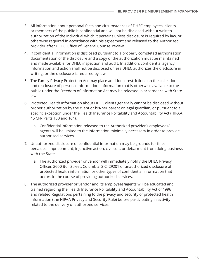- 3. All information about personal facts and circumstances of DHEC employees, clients, or members of the public is confidential and will not be disclosed without written authorization of the individual which it pertains unless disclosure is required by law, or otherwise required in accordance with his agreement and released to the Authorized provider after DHEC Office of General Counsel review.
- 4. If confidential information is disclosed pursuant to a properly completed authorization, documentation of the disclosure and a copy of the authorization must be maintained and made available for DHEC inspection and audit. In addition, confidential agency information and action shall not be disclosed unless DHEC authorizes the disclosure in writing, or the disclosure is required by law.
- 5. The Family Privacy Protection Act may place additional restrictions on the collection and disclosure of personal information. Information that is otherwise available to the public under the Freedom of Information Act may be released in accordance with State law.
- 6. Protected Health Information about DHEC clients generally cannot be disclosed without proper authorization by the client or his/her parent or legal guardian, or pursuant to a specific exception under the Health Insurance Portability and Accountability Act (HIPAA, 45 CFR Parts 160 and 164).
	- a. Confidential information released to the Authorized provider's employees/ agents will be limited to the information minimally necessary in order to provide authorized services.
- 7. Unauthorized disclosure of confidential information may be grounds for fines, penalties, imprisonment, injunctive action, civil suit, or debarment from doing business with the State.
	- a. The authorized provider or vendor will immediately notify the DHEC Privacy Officer, 2600 Bull Street, Columbia, S.C. 29201 of unauthorized disclosure of protected health information or other types of confidential information that occurs in the course of providing authorized services.
- 8. The authorized provider or vendor and its employees/agents will be educated and trained regarding the Health Insurance Portability and Accountability Act of 1996 and related Regulations pertaining to the privacy and security of protected health information (the HIPAA Privacy and Security Rule) before participating in activity related to the delivery of authorized services.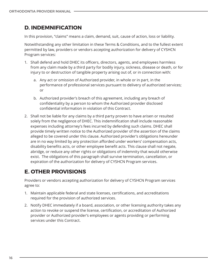## **D. INDEMNIFICATION**

In this provision, "claims" means a claim, demand, suit, cause of action, loss or liability.

Notwithstanding any other limitation in these Terms & Conditions, and to the fullest extent permitted by law, providers or vendors accepting authorization for delivery of CYSHCN Program services:

- 1. Shall defend and hold DHEC its officers, directors, agents, and employees harmless from any claim made by a third party for bodily injury, sickness, disease or death, or for injury to or destruction of tangible property arising out of, or in connection with:
	- a. Any act or omission of Authorized provider, in whole or in part, in the performance of professional services pursuant to delivery of authorized services; or
	- b. Authorized provider's breach of this agreement, including any breach of confidentiality by a person to whom the Authorized provider disclosed confidential information in violation of this Contract.
- 2. Shall not be liable for any claims by a third party proven to have arisen or resulted solely from the negligence of DHEC. This indemnification shall include reasonable expenses including attorney's fees incurred by defending such claims. DHEC shall provide timely written notice to the Authorized provider of the assertion of the claims alleged to be covered under this clause. Authorized provider's obligations hereunder are in no way limited by any protection afforded under workers' compensation acts, disability benefits acts, or other employee benefit acts. This clause shall not negate, abridge, or reduce any other rights or obligations of indemnity that would otherwise exist. The obligations of this paragraph shall survive termination, cancellation, or expiration of the authorization for delivery of CYSHCN Program services.

# **E. OTHER PROVISIONS**

Providers or vendors accepting authorization for delivery of CYSHCN Program services agree to:

- 1. Maintain applicable federal and state licenses, certifications, and accreditations required for the provision of authorized services.
- 2. Notify DHEC immediately if a board, association, or other licensing authority takes any action to revoke or suspend the license, certification, or accreditation of Authorized provider or Authorized provider's employees or agents providing or performing services under this Contract.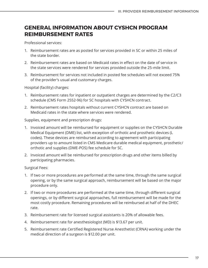### **GENERAL INFORMATION ABOUT CYSHCN PROGRAM REIMBURSEMENT RATES**

Professional services:

- 1. Reimbursement rates are as posted for services provided in SC or within 25 miles of the state border.
- 2. Reimbursement rates are based on Medicaid rates in effect on the date of service in the state services were rendered for services provided outside the 25-mile limit.
- 3. Reimbursement for services not included in posted fee schedules will not exceed 75% of the provider's usual and customary charges.

Hospital (facility) charges:

- 1. Reimbursement rates for inpatient or outpatient charges are determined by the C2/C3 schedule (CMS Form 2552-96) for SC hospitals with CYSHCN contract.
- 2. Reimbursement rates hospitals without current CYSHCN contract are based on Medicaid rates in the state where services were rendered.

Supplies, equipment and prescription drugs:

- 1. Invoiced amount will be reimbursed for equipment or supplies on the CYSHCN Durable Medical Equipment (DME) list, with exception of orthotic and prosthetic devices (L codes). These devices are reimbursed according to agreement with participating providers up to amount listed in CMS Medicare durable medical equipment, prosthetic/ orthotic and supplies (DME-POS) fee schedule for SC.
- 2. Invoiced amount will be reimbursed for prescription drugs and other items billed by participating pharmacies.

Surgical Fees:

- 1. If two or more procedures are performed at the same time, through the same surgical opening, or by the same surgical approach, reimbursement will be based on the major procedure only.
- 2. If two or more procedures are performed at the same time, through different surgical openings, or by different surgical approaches, full reimbursement will be made for the most costly procedure. Remaining procedures will be reimbursed at half of the DHEC rate.
- 3. Reimbursement rate for licensed surgical assistants is 20% of allowable fees.
- 4. Reimbursement rate for anesthesiologist (MD) is \$13.67 per unit.
- 5. Reimbursement rate Certified Registered Nurse Anesthetist (CRNA) working under the medical direction of a surgeon is \$12.00 per unit.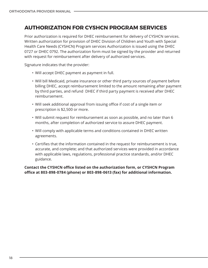### **AUTHORIZATION FOR CYSHCN PROGRAM SERVICES**

Prior authorization is required for DHEC reimbursement for delivery of CYSHCN services. Written authorization for provision of DHEC Division of Children and Youth with Special Health Care Needs (CYSHCN) Program services Authorization is issued using the DHEC 0727 or DHEC 0792. The authorization form must be signed by the provider and returned with request for reimbursement after delivery of authorized services.

Signature indicates that the provider:

- Will accept DHEC payment as payment in full.
- Will bill Medicaid, private insurance or other third party sources of payment before billing DHEC, accept reimbursement limited to the amount remaining after payment by third parties, and refund DHEC if third party payment is received after DHEC reimbursement.
- Will seek additional approval from issuing office if cost of a single item or prescription is \$2,500 or more.
- Will submit request for reimbursement as soon as possible, and no later than 6 months, after completion of authorized service to assure DHEC payment.
- Will comply with applicable terms and conditions contained in DHEC written agreements.
- Certifies that the information contained in the request for reimbursement is true, accurate, and complete; and that authorized services were provided in accordance with applicable laws, regulations, professional practice standards, and/or DHEC guidance.

**Contact the CYSHCN office listed on the authorization form, or CYSHCN Program office at 803-898-0784 (phone) or 803-898-0613 (fax) for additional information.**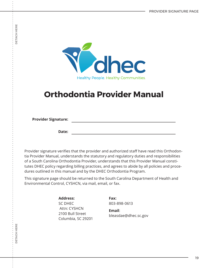

# **Orthodontia Provider Manual**

**Provider Signature:** 

**Date:**

Provider signature verifies that the provider and authorized staff have read this Orthodontia Provider Manual, understands the statutory and regulatory duties and responsibilities of a South Carolina Orthodontia Provider, understands that this Provider Manual constitutes DHEC policy regarding billing practices, and agrees to abide by all policies and procedures outlined in this manual and by the DHEC Orthodontia Program.

This signature page should be returned to the South Carolina Department of Health and Environmental Control, CYSHCN, via mail, email, or fax.

> **Address:**  SC DHEC Attn: CYSHCN 2100 Bull Street Columbia, SC 29201

**Fax:**  803-898-0613

**Email**: bleasdae@dhec.sc.gov

**DETACH HERE**

<span id="page-18-0"></span>**DETACH HERE**